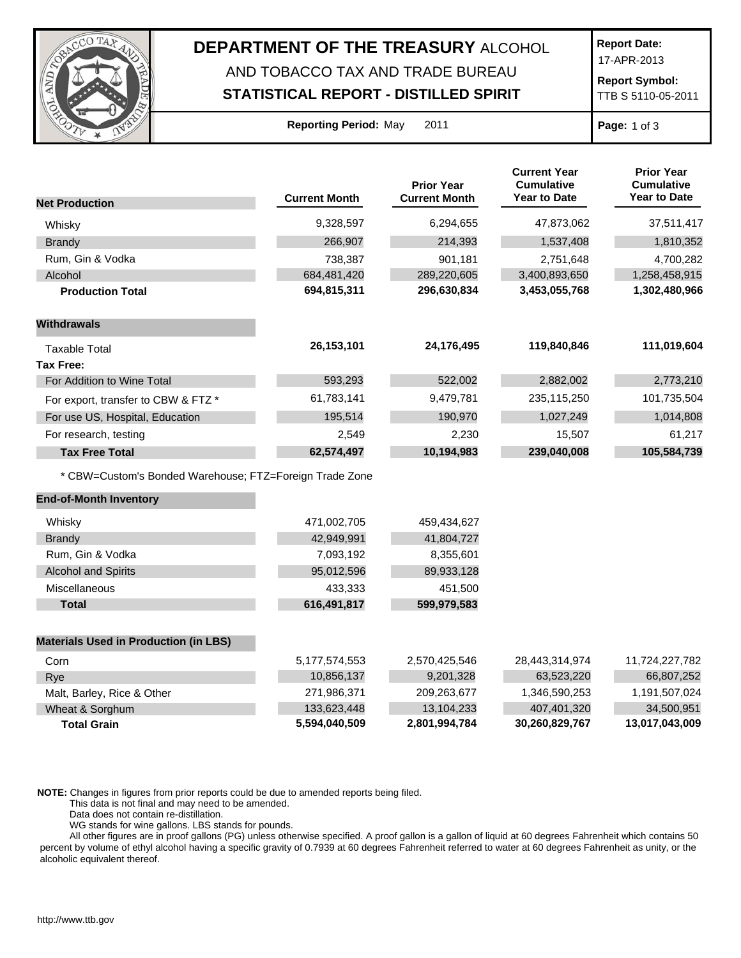

## **DEPARTMENT OF THE TREASURY** ALCOHOL AND TOBACCO TAX AND TRADE BUREAU

**STATISTICAL REPORT - DISTILLED SPIRIT**

**Report Date:**

17-APR-2013

**Report Symbol:** TTB S 5110-05-2011

**Reporting Period:** May 2011 **Page:** 1 of 3

|                                                         |                      | <b>Prior Year</b>    | <b>Current Year</b><br><b>Cumulative</b> | <b>Prior Year</b><br><b>Cumulative</b> |
|---------------------------------------------------------|----------------------|----------------------|------------------------------------------|----------------------------------------|
| <b>Net Production</b>                                   | <b>Current Month</b> | <b>Current Month</b> | <b>Year to Date</b>                      | <b>Year to Date</b>                    |
| Whisky                                                  | 9,328,597            | 6,294,655            | 47,873,062                               | 37,511,417                             |
| <b>Brandy</b>                                           | 266,907              | 214,393              | 1,537,408                                | 1,810,352                              |
| Rum, Gin & Vodka                                        | 738,387              | 901,181              | 2,751,648                                | 4,700,282                              |
| Alcohol                                                 | 684,481,420          | 289,220,605          | 3,400,893,650                            | 1,258,458,915                          |
| <b>Production Total</b>                                 | 694,815,311          | 296,630,834          | 3,453,055,768                            | 1,302,480,966                          |
| Withdrawals                                             |                      |                      |                                          |                                        |
| <b>Taxable Total</b>                                    | 26, 153, 101         | 24,176,495           | 119,840,846                              | 111,019,604                            |
| <b>Tax Free:</b>                                        |                      |                      |                                          |                                        |
| For Addition to Wine Total                              | 593,293              | 522,002              | 2,882,002                                | 2,773,210                              |
| For export, transfer to CBW & FTZ *                     | 61,783,141           | 9,479,781            | 235,115,250                              | 101,735,504                            |
| For use US, Hospital, Education                         | 195,514              | 190,970              | 1,027,249                                | 1,014,808                              |
| For research, testing                                   | 2,549                | 2,230                | 15,507                                   | 61,217                                 |
| <b>Tax Free Total</b>                                   | 62,574,497           | 10,194,983           | 239,040,008                              | 105,584,739                            |
| * CBW=Custom's Bonded Warehouse; FTZ=Foreign Trade Zone |                      |                      |                                          |                                        |
| <b>End-of-Month Inventory</b>                           |                      |                      |                                          |                                        |
| Whisky                                                  | 471,002,705          | 459,434,627          |                                          |                                        |
| <b>Brandy</b>                                           | 42,949,991           | 41,804,727           |                                          |                                        |
| Rum, Gin & Vodka                                        | 7,093,192            | 8,355,601            |                                          |                                        |
| <b>Alcohol and Spirits</b>                              | 95,012,596           | 89,933,128           |                                          |                                        |
| Miscellaneous                                           | 433,333              | 451,500              |                                          |                                        |
| <b>Total</b>                                            | 616,491,817          | 599,979,583          |                                          |                                        |
| <b>Materials Used in Production (in LBS)</b>            |                      |                      |                                          |                                        |
| Corn                                                    | 5, 177, 574, 553     | 2,570,425,546        | 28,443,314,974                           | 11,724,227,782                         |
| Rye                                                     | 10,856,137           | 9,201,328            | 63,523,220                               | 66,807,252                             |
| Malt, Barley, Rice & Other                              | 271,986,371          | 209,263,677          | 1,346,590,253                            | 1,191,507,024                          |
| Wheat & Sorghum                                         | 133,623,448          | 13,104,233           | 407,401,320                              | 34,500,951                             |
| <b>Total Grain</b>                                      | 5,594,040,509        | 2,801,994,784        | 30,260,829,767                           | 13,017,043,009                         |

**NOTE:** Changes in figures from prior reports could be due to amended reports being filed.

This data is not final and may need to be amended.

Data does not contain re-distillation.

WG stands for wine gallons. LBS stands for pounds.

All other figures are in proof gallons (PG) unless otherwise specified. A proof gallon is a gallon of liquid at 60 degrees Fahrenheit which contains 50 percent by volume of ethyl alcohol having a specific gravity of 0.7939 at 60 degrees Fahrenheit referred to water at 60 degrees Fahrenheit as unity, or the alcoholic equivalent thereof.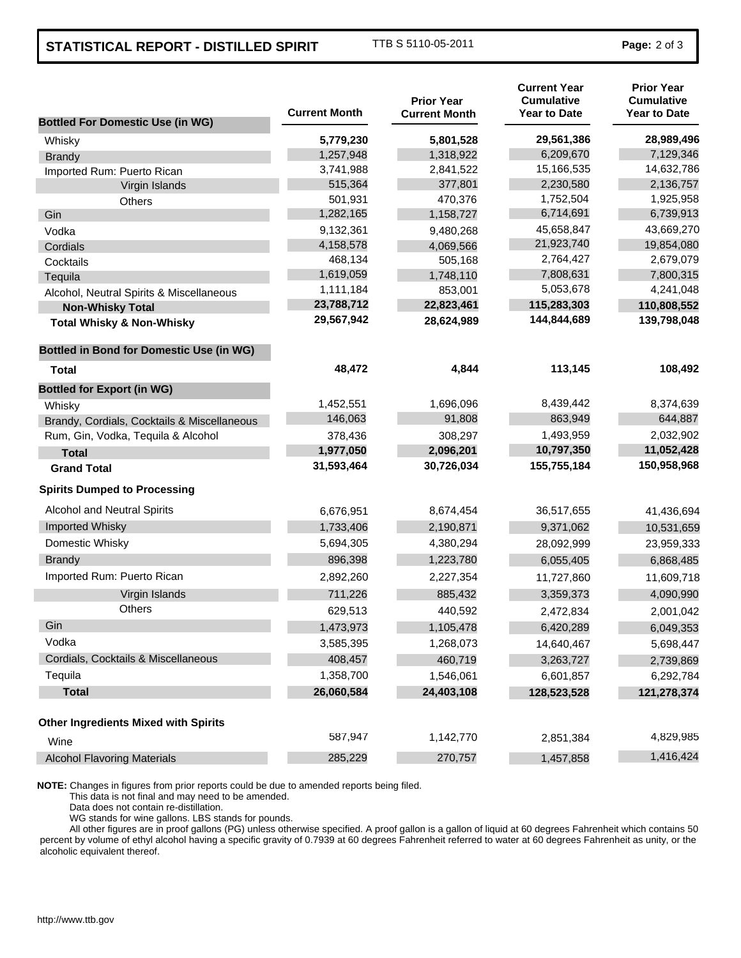## **STATISTICAL REPORT - DISTILLED SPIRIT** TTB S 5110-05-2011 **Page:** 2 of 3

| <b>Bottled For Domestic Use (in WG)</b>         | <b>Current Month</b> | <b>Prior Year</b><br><b>Current Month</b> | <b>Current Year</b><br><b>Cumulative</b><br><b>Year to Date</b> | <b>Prior Year</b><br><b>Cumulative</b><br><b>Year to Date</b> |
|-------------------------------------------------|----------------------|-------------------------------------------|-----------------------------------------------------------------|---------------------------------------------------------------|
| Whisky                                          | 5,779,230            | 5,801,528                                 | 29,561,386                                                      | 28,989,496                                                    |
| <b>Brandy</b>                                   | 1,257,948            | 1,318,922                                 | 6,209,670                                                       | 7,129,346                                                     |
| Imported Rum: Puerto Rican                      | 3,741,988            | 2,841,522                                 | 15,166,535                                                      | 14,632,786                                                    |
| Virgin Islands                                  | 515,364              | 377,801                                   | 2,230,580                                                       | 2,136,757                                                     |
| Others                                          | 501,931              | 470,376                                   | 1,752,504                                                       | 1,925,958                                                     |
| Gin                                             | 1,282,165            | 1,158,727                                 | 6,714,691                                                       | 6,739,913                                                     |
| Vodka                                           | 9,132,361            | 9,480,268                                 | 45,658,847                                                      | 43,669,270                                                    |
| Cordials                                        | 4,158,578            | 4,069,566                                 | 21,923,740                                                      | 19,854,080                                                    |
| Cocktails                                       | 468,134              | 505,168                                   | 2,764,427                                                       | 2,679,079                                                     |
| Tequila                                         | 1,619,059            | 1,748,110                                 | 7,808,631                                                       | 7,800,315                                                     |
| Alcohol, Neutral Spirits & Miscellaneous        | 1,111,184            | 853,001                                   | 5,053,678                                                       | 4,241,048                                                     |
| <b>Non-Whisky Total</b>                         | 23,788,712           | 22,823,461                                | 115,283,303                                                     | 110,808,552                                                   |
| <b>Total Whisky &amp; Non-Whisky</b>            | 29,567,942           | 28,624,989                                | 144,844,689                                                     | 139,798,048                                                   |
| <b>Bottled in Bond for Domestic Use (in WG)</b> |                      |                                           |                                                                 |                                                               |
| Total                                           | 48,472               | 4,844                                     | 113,145                                                         | 108,492                                                       |
| <b>Bottled for Export (in WG)</b>               |                      |                                           |                                                                 |                                                               |
| Whisky                                          | 1,452,551            | 1,696,096                                 | 8,439,442                                                       | 8,374,639                                                     |
| Brandy, Cordials, Cocktails & Miscellaneous     | 146,063              | 91,808                                    | 863,949                                                         | 644,887                                                       |
| Rum, Gin, Vodka, Tequila & Alcohol              | 378,436              | 308,297                                   | 1,493,959                                                       | 2,032,902                                                     |
| <b>Total</b>                                    | 1,977,050            | 2,096,201                                 | 10,797,350                                                      | 11,052,428                                                    |
| <b>Grand Total</b>                              | 31,593,464           | 30,726,034                                | 155,755,184                                                     | 150,958,968                                                   |
| <b>Spirits Dumped to Processing</b>             |                      |                                           |                                                                 |                                                               |
| Alcohol and Neutral Spirits                     | 6,676,951            | 8,674,454                                 | 36,517,655                                                      | 41,436,694                                                    |
| Imported Whisky                                 | 1,733,406            | 2,190,871                                 | 9,371,062                                                       | 10,531,659                                                    |
| Domestic Whisky                                 | 5,694,305            | 4,380,294                                 | 28,092,999                                                      | 23,959,333                                                    |
| <b>Brandy</b>                                   | 896,398              | 1,223,780                                 | 6,055,405                                                       | 6,868,485                                                     |
| Imported Rum: Puerto Rican                      | 2,892,260            | 2,227,354                                 | 11,727,860                                                      | 11,609,718                                                    |
| Virgin Islands                                  | 711,226              | 885,432                                   | 3,359,373                                                       | 4,090,990                                                     |
| <b>Others</b>                                   | 629,513              | 440,592                                   | 2,472,834                                                       | 2,001,042                                                     |
| Gin                                             | 1,473,973            | 1,105,478                                 | 6,420,289                                                       | 6,049,353                                                     |
| Vodka                                           | 3,585,395            | 1,268,073                                 | 14,640,467                                                      | 5,698,447                                                     |
| Cordials, Cocktails & Miscellaneous             | 408,457              | 460,719                                   | 3,263,727                                                       | 2,739,869                                                     |
| Tequila                                         | 1,358,700            | 1,546,061                                 | 6,601,857                                                       | 6,292,784                                                     |
| <b>Total</b>                                    | 26,060,584           | 24,403,108                                | 128,523,528                                                     | 121,278,374                                                   |
| <b>Other Ingredients Mixed with Spirits</b>     |                      |                                           |                                                                 |                                                               |
| Wine                                            | 587,947              | 1,142,770                                 | 2,851,384                                                       | 4,829,985                                                     |
| <b>Alcohol Flavoring Materials</b>              | 285,229              | 270,757                                   | 1,457,858                                                       | 1,416,424                                                     |

**NOTE:** Changes in figures from prior reports could be due to amended reports being filed.

This data is not final and may need to be amended.

Data does not contain re-distillation.

WG stands for wine gallons. LBS stands for pounds.

All other figures are in proof gallons (PG) unless otherwise specified. A proof gallon is a gallon of liquid at 60 degrees Fahrenheit which contains 50 percent by volume of ethyl alcohol having a specific gravity of 0.7939 at 60 degrees Fahrenheit referred to water at 60 degrees Fahrenheit as unity, or the alcoholic equivalent thereof.